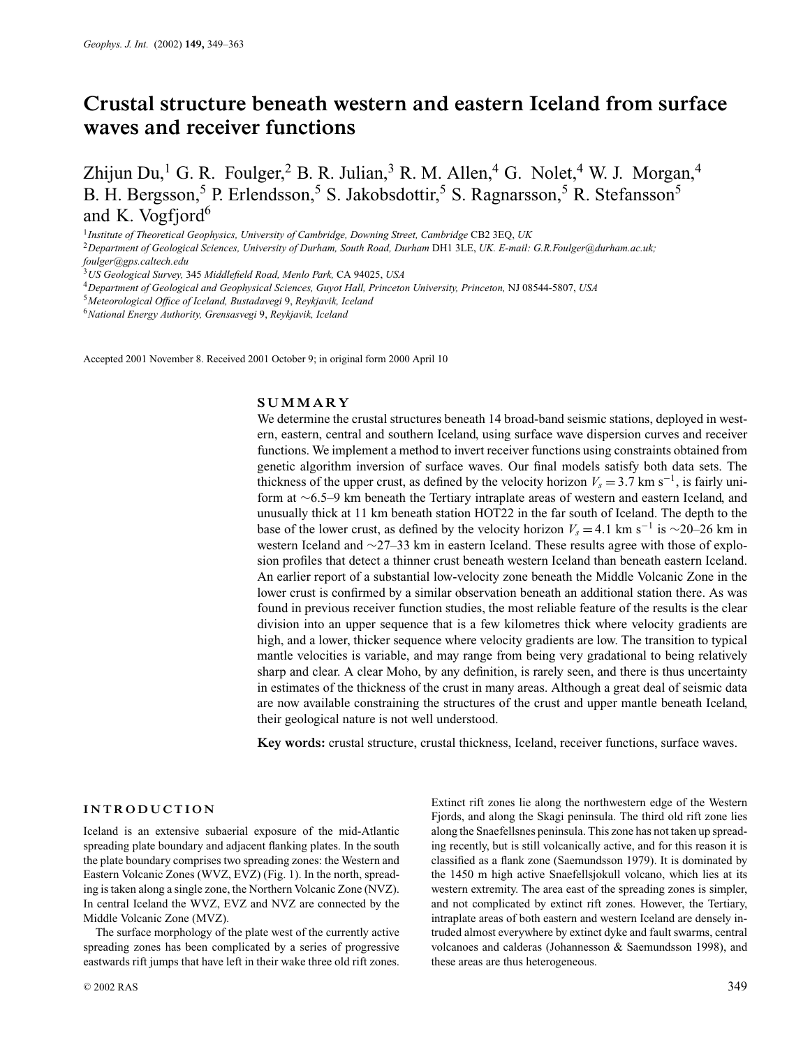# **Crustal structure beneath western and eastern Iceland from surface waves and receiver functions**

Zhijun Du,<sup>1</sup> G. R. Foulger,<sup>2</sup> B. R. Julian,<sup>3</sup> R. M. Allen,<sup>4</sup> G. Nolet,<sup>4</sup> W. J. Morgan,<sup>4</sup> B. H. Bergsson,<sup>5</sup> P. Erlendsson,<sup>5</sup> S. Jakobsdottir,<sup>5</sup> S. Ragnarsson,<sup>5</sup> R. Stefansson<sup>5</sup> and K. Vogfjord<sup>6</sup>

<sup>1</sup>*Institute of Theoretical Geophysics, University of Cambridge, Downing Street, Cambridge* CB2 3EQ, *UK*

<sup>2</sup>*Department of Geological Sciences, University of Durham, South Road, Durham* DH1 3LE, *UK. E-mail: G.R.Foulger@durham.ac.uk; foulger@gps.caltech.edu*

<sup>3</sup>*US Geological Survey,* 345 *Middlefield Road, Menlo Park,* CA 94025, *USA*

<sup>4</sup>*Department of Geological and Geophysical Sciences, Guyot Hall, Princeton University, Princeton,* NJ 08544-5807, *USA*

<sup>5</sup>*Meteorological Office of Iceland, Bustadavegi* 9, *Reykjavik, Iceland*

<sup>6</sup>*National Energy Authority, Grensasvegi* 9, *Reykjavik, Iceland*

Accepted 2001 November 8. Received 2001 October 9; in original form 2000 April 10

# **SUMMARY**

We determine the crustal structures beneath 14 broad-band seismic stations, deployed in western, eastern, central and southern Iceland, using surface wave dispersion curves and receiver functions. We implement a method to invert receiver functions using constraints obtained from genetic algorithm inversion of surface waves. Our final models satisfy both data sets. The thickness of the upper crust, as defined by the velocity horizon  $V_s = 3.7$  km s<sup>-1</sup>, is fairly uniform at ∼6.5–9 km beneath the Tertiary intraplate areas of western and eastern Iceland, and unusually thick at 11 km beneath station HOT22 in the far south of Iceland. The depth to the base of the lower crust, as defined by the velocity horizon  $V_s = 4.1 \text{ km s}^{-1}$  is ~20–26 km in western Iceland and ∼27–33 km in eastern Iceland. These results agree with those of explosion profiles that detect a thinner crust beneath western Iceland than beneath eastern Iceland. An earlier report of a substantial low-velocity zone beneath the Middle Volcanic Zone in the lower crust is confirmed by a similar observation beneath an additional station there. As was found in previous receiver function studies, the most reliable feature of the results is the clear division into an upper sequence that is a few kilometres thick where velocity gradients are high, and a lower, thicker sequence where velocity gradients are low. The transition to typical mantle velocities is variable, and may range from being very gradational to being relatively sharp and clear. A clear Moho, by any definition, is rarely seen, and there is thus uncertainty in estimates of the thickness of the crust in many areas. Although a great deal of seismic data are now available constraining the structures of the crust and upper mantle beneath Iceland, their geological nature is not well understood.

**Key words:** crustal structure, crustal thickness, Iceland, receiver functions, surface waves.

## **INTRODUCTION**

Iceland is an extensive subaerial exposure of the mid-Atlantic spreading plate boundary and adjacent flanking plates. In the south the plate boundary comprises two spreading zones: the Western and Eastern Volcanic Zones (WVZ, EVZ) (Fig. 1). In the north, spreading is taken along a single zone, the Northern Volcanic Zone (NVZ). In central Iceland the WVZ, EVZ and NVZ are connected by the Middle Volcanic Zone (MVZ).

The surface morphology of the plate west of the currently active spreading zones has been complicated by a series of progressive eastwards rift jumps that have left in their wake three old rift zones.

 $\degree$  2002 RAS 349

Extinct rift zones lie along the northwestern edge of the Western Fiords, and along the Skagi peninsula. The third old rift zone lies along the Snaefellsnes peninsula. This zone has not taken up spreading recently, but is still volcanically active, and for this reason it is classified as a flank zone (Saemundsson 1979). It is dominated by the 1450 m high active Snaefellsjokull volcano, which lies at its western extremity. The area east of the spreading zones is simpler, and not complicated by extinct rift zones. However, the Tertiary, intraplate areas of both eastern and western Iceland are densely intruded almost everywhere by extinct dyke and fault swarms, central volcanoes and calderas (Johannesson & Saemundsson 1998), and these areas are thus heterogeneous.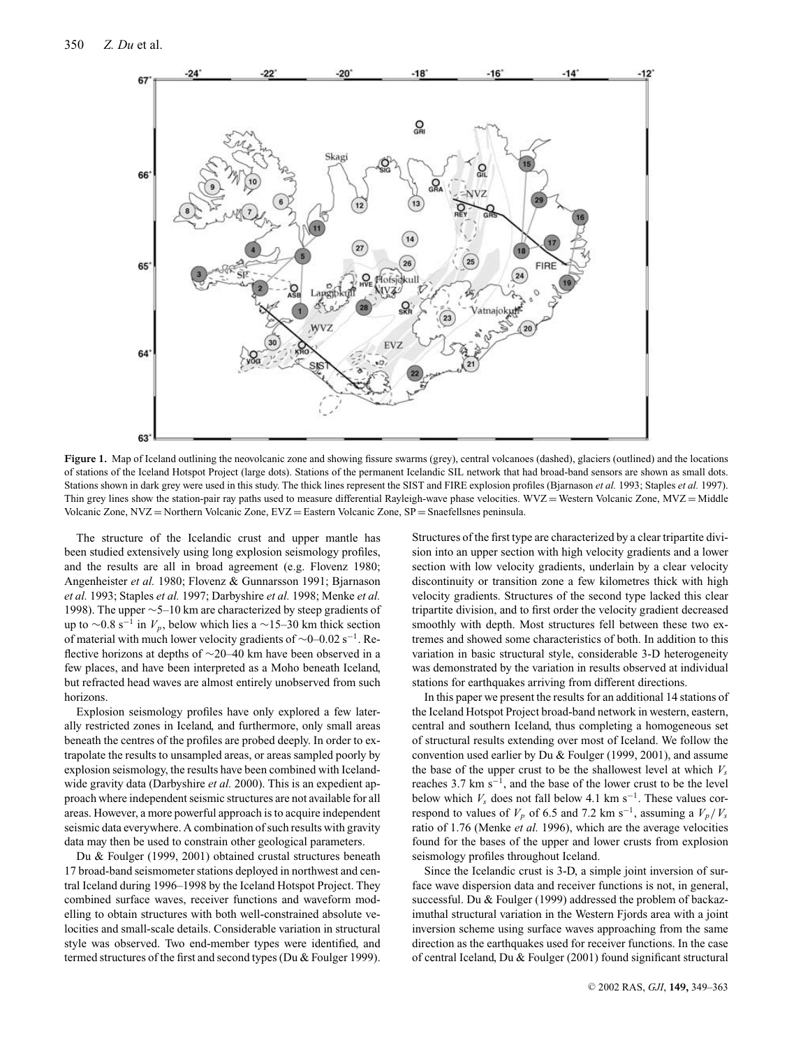

**Figure 1.** Map of Iceland outlining the neovolcanic zone and showing fissure swarms (grey), central volcanoes (dashed), glaciers (outlined) and the locations of stations of the Iceland Hotspot Project (large dots). Stations of the permanent Icelandic SIL network that had broad-band sensors are shown as small dots. Stations shown in dark grey were used in this study. The thick lines represent the SIST and FIRE explosion profiles (Bjarnason *et al.* 1993; Staples *et al.* 1997). Thin grey lines show the station-pair ray paths used to measure differential Rayleigh-wave phase velocities. WVZ = Western Volcanic Zone, MVZ = Middle Volcanic Zone, NVZ = Northern Volcanic Zone, EVZ = Eastern Volcanic Zone, SP = Snaefellsnes peninsula.

The structure of the Icelandic crust and upper mantle has been studied extensively using long explosion seismology profiles, and the results are all in broad agreement (e.g. Flovenz 1980; Angenheister *et al.* 1980; Flovenz & Gunnarsson 1991; Bjarnason *et al.* 1993; Staples *et al.* 1997; Darbyshire *et al.* 1998; Menke *et al.* 1998). The upper ∼5–10 km are characterized by steep gradients of up to  $\sim$ 0.8 s<sup>-1</sup> in  $V_p$ , below which lies a  $\sim$ 15–30 km thick section of material with much lower velocity gradients of  $\sim$ 0–0.02 s<sup>-1</sup>. Reflective horizons at depths of ∼20–40 km have been observed in a few places, and have been interpreted as a Moho beneath Iceland, but refracted head waves are almost entirely unobserved from such horizons.

Explosion seismology profiles have only explored a few laterally restricted zones in Iceland, and furthermore, only small areas beneath the centres of the profiles are probed deeply. In order to extrapolate the results to unsampled areas, or areas sampled poorly by explosion seismology, the results have been combined with Icelandwide gravity data (Darbyshire *et al.* 2000). This is an expedient approach where independent seismic structures are not available for all areas. However, a more powerful approach is to acquire independent seismic data everywhere. A combination of such results with gravity data may then be used to constrain other geological parameters.

Du & Foulger (1999, 2001) obtained crustal structures beneath 17 broad-band seismometer stations deployed in northwest and central Iceland during 1996–1998 by the Iceland Hotspot Project. They combined surface waves, receiver functions and waveform modelling to obtain structures with both well-constrained absolute velocities and small-scale details. Considerable variation in structural style was observed. Two end-member types were identified, and termed structures of the first and second types (Du & Foulger 1999).

Structures of the first type are characterized by a clear tripartite division into an upper section with high velocity gradients and a lower section with low velocity gradients, underlain by a clear velocity discontinuity or transition zone a few kilometres thick with high velocity gradients. Structures of the second type lacked this clear tripartite division, and to first order the velocity gradient decreased smoothly with depth. Most structures fell between these two extremes and showed some characteristics of both. In addition to this variation in basic structural style, considerable 3-D heterogeneity was demonstrated by the variation in results observed at individual stations for earthquakes arriving from different directions.

In this paper we present the results for an additional 14 stations of the Iceland Hotspot Project broad-band network in western, eastern, central and southern Iceland, thus completing a homogeneous set of structural results extending over most of Iceland. We follow the convention used earlier by Du & Foulger (1999, 2001), and assume the base of the upper crust to be the shallowest level at which  $V_s$ reaches 3.7 km s<sup>−</sup>1, and the base of the lower crust to be the level below which  $V_s$  does not fall below 4.1 km s<sup>-1</sup>. These values correspond to values of  $V_p$  of 6.5 and 7.2 km s<sup>-1</sup>, assuming a  $V_p/V_s$ ratio of 1.76 (Menke *et al.* 1996), which are the average velocities found for the bases of the upper and lower crusts from explosion seismology profiles throughout Iceland.

Since the Icelandic crust is 3-D, a simple joint inversion of surface wave dispersion data and receiver functions is not, in general, successful. Du & Foulger (1999) addressed the problem of backazimuthal structural variation in the Western Fjords area with a joint inversion scheme using surface waves approaching from the same direction as the earthquakes used for receiver functions. In the case of central Iceland, Du & Foulger (2001) found significant structural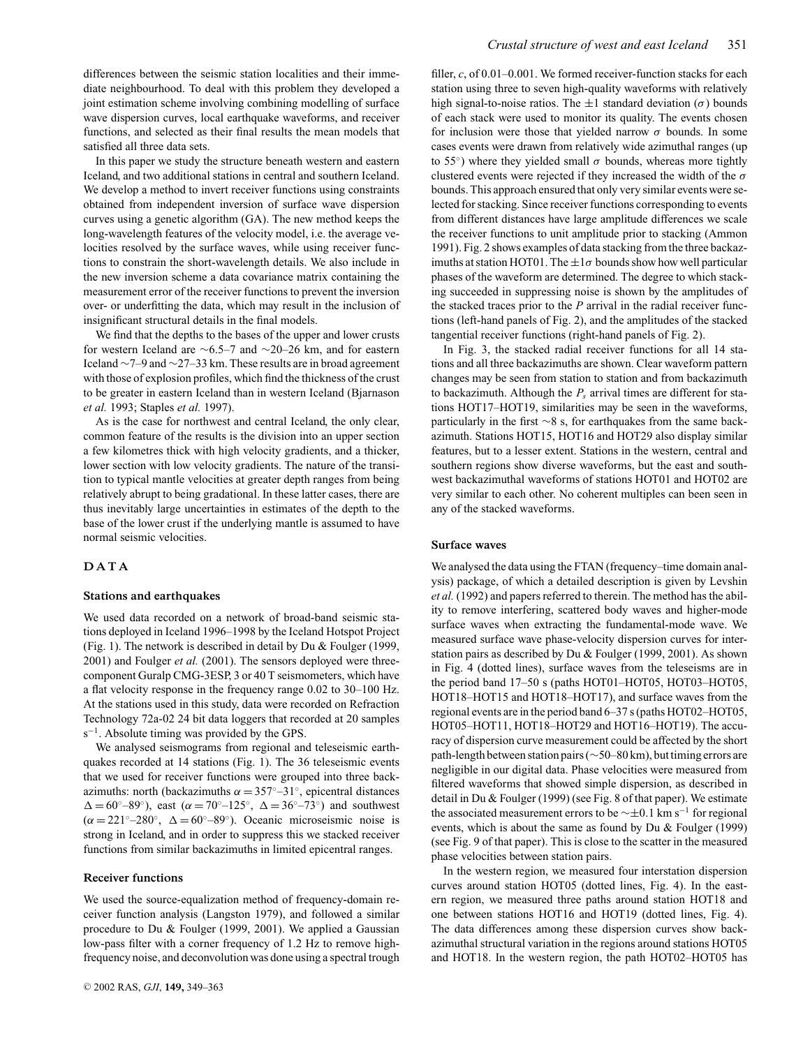differences between the seismic station localities and their immediate neighbourhood. To deal with this problem they developed a joint estimation scheme involving combining modelling of surface wave dispersion curves, local earthquake waveforms, and receiver functions, and selected as their final results the mean models that satisfied all three data sets.

In this paper we study the structure beneath western and eastern Iceland, and two additional stations in central and southern Iceland. We develop a method to invert receiver functions using constraints obtained from independent inversion of surface wave dispersion curves using a genetic algorithm (GA). The new method keeps the long-wavelength features of the velocity model, i.e. the average velocities resolved by the surface waves, while using receiver functions to constrain the short-wavelength details. We also include in the new inversion scheme a data covariance matrix containing the measurement error of the receiver functions to prevent the inversion over- or underfitting the data, which may result in the inclusion of insignificant structural details in the final models.

We find that the depths to the bases of the upper and lower crusts for western Iceland are ∼6.5–7 and ∼20–26 km, and for eastern Iceland ∼7–9 and ∼27–33 km. These results are in broad agreement with those of explosion profiles, which find the thickness of the crust to be greater in eastern Iceland than in western Iceland (Bjarnason *et al.* 1993; Staples *et al.* 1997).

As is the case for northwest and central Iceland, the only clear, common feature of the results is the division into an upper section a few kilometres thick with high velocity gradients, and a thicker, lower section with low velocity gradients. The nature of the transition to typical mantle velocities at greater depth ranges from being relatively abrupt to being gradational. In these latter cases, there are thus inevitably large uncertainties in estimates of the depth to the base of the lower crust if the underlying mantle is assumed to have normal seismic velocities.

## **DATA**

## **Stations and earthquakes**

We used data recorded on a network of broad-band seismic stations deployed in Iceland 1996–1998 by the Iceland Hotspot Project (Fig. 1). The network is described in detail by Du & Foulger (1999, 2001) and Foulger *et al.* (2001). The sensors deployed were threecomponent Guralp CMG-3ESP, 3 or 40 T seismometers, which have a flat velocity response in the frequency range 0.02 to 30–100 Hz. At the stations used in this study, data were recorded on Refraction Technology 72a-02 24 bit data loggers that recorded at 20 samples s<sup>-1</sup>. Absolute timing was provided by the GPS.

We analysed seismograms from regional and teleseismic earthquakes recorded at 14 stations (Fig. 1). The 36 teleseismic events that we used for receiver functions were grouped into three backazimuths: north (backazimuths  $\alpha = 357^{\circ} - 31^{\circ}$ , epicentral distances  $\Delta = 60^{\circ} - 89^{\circ}$ ), east ( $\alpha = 70^{\circ} - 125^{\circ}$ ,  $\Delta = 36^{\circ} - 73^{\circ}$ ) and southwest  $(\alpha = 221°-280°, \Delta = 60°-89°)$ . Oceanic microseismic noise is strong in Iceland, and in order to suppress this we stacked receiver functions from similar backazimuths in limited epicentral ranges.

#### **Receiver functions**

We used the source-equalization method of frequency-domain receiver function analysis (Langston 1979), and followed a similar procedure to Du & Foulger (1999, 2001). We applied a Gaussian low-pass filter with a corner frequency of 1.2 Hz to remove highfrequency noise, and deconvolution was done using a spectral trough

filler, *c*, of 0.01–0.001. We formed receiver-function stacks for each station using three to seven high-quality waveforms with relatively high signal-to-noise ratios. The  $\pm 1$  standard deviation ( $\sigma$ ) bounds of each stack were used to monitor its quality. The events chosen for inclusion were those that yielded narrow  $\sigma$  bounds. In some cases events were drawn from relatively wide azimuthal ranges (up to 55 $\degree$ ) where they yielded small  $\sigma$  bounds, whereas more tightly clustered events were rejected if they increased the width of the  $\sigma$ bounds. This approach ensured that only very similar events were selected for stacking. Since receiver functions corresponding to events from different distances have large amplitude differences we scale the receiver functions to unit amplitude prior to stacking (Ammon 1991). Fig. 2 shows examples of data stacking from the three backazimuths at station HOT01. The  $\pm 1\sigma$  bounds show how well particular phases of the waveform are determined. The degree to which stacking succeeded in suppressing noise is shown by the amplitudes of the stacked traces prior to the *P* arrival in the radial receiver functions (left-hand panels of Fig. 2), and the amplitudes of the stacked tangential receiver functions (right-hand panels of Fig. 2).

In Fig. 3, the stacked radial receiver functions for all 14 stations and all three backazimuths are shown. Clear waveform pattern changes may be seen from station to station and from backazimuth to backazimuth. Although the  $P<sub>s</sub>$  arrival times are different for stations HOT17–HOT19, similarities may be seen in the waveforms, particularly in the first ∼8 s, for earthquakes from the same backazimuth. Stations HOT15, HOT16 and HOT29 also display similar features, but to a lesser extent. Stations in the western, central and southern regions show diverse waveforms, but the east and southwest backazimuthal waveforms of stations HOT01 and HOT02 are very similar to each other. No coherent multiples can been seen in any of the stacked waveforms.

#### **Surface waves**

We analysed the data using the FTAN (frequency–time domain analysis) package, of which a detailed description is given by Levshin *et al.* (1992) and papers referred to therein. The method has the ability to remove interfering, scattered body waves and higher-mode surface waves when extracting the fundamental-mode wave. We measured surface wave phase-velocity dispersion curves for interstation pairs as described by Du & Foulger (1999, 2001). As shown in Fig. 4 (dotted lines), surface waves from the teleseisms are in the period band 17–50 s (paths HOT01–HOT05, HOT03–HOT05, HOT18–HOT15 and HOT18–HOT17), and surface waves from the regional events are in the period band 6–37 s (paths HOT02–HOT05, HOT05–HOT11, HOT18–HOT29 and HOT16–HOT19). The accuracy of dispersion curve measurement could be affected by the short path-length between station pairs (∼50–80 km), but timing errors are negligible in our digital data. Phase velocities were measured from filtered waveforms that showed simple dispersion, as described in detail in Du & Foulger (1999) (see Fig. 8 of that paper). We estimate the associated measurement errors to be  $\sim \pm 0.1$  km s<sup>-1</sup> for regional events, which is about the same as found by Du & Foulger (1999) (see Fig. 9 of that paper). This is close to the scatter in the measured phase velocities between station pairs.

In the western region, we measured four interstation dispersion curves around station HOT05 (dotted lines, Fig. 4). In the eastern region, we measured three paths around station HOT18 and one between stations HOT16 and HOT19 (dotted lines, Fig. 4). The data differences among these dispersion curves show backazimuthal structural variation in the regions around stations HOT05 and HOT18. In the western region, the path HOT02–HOT05 has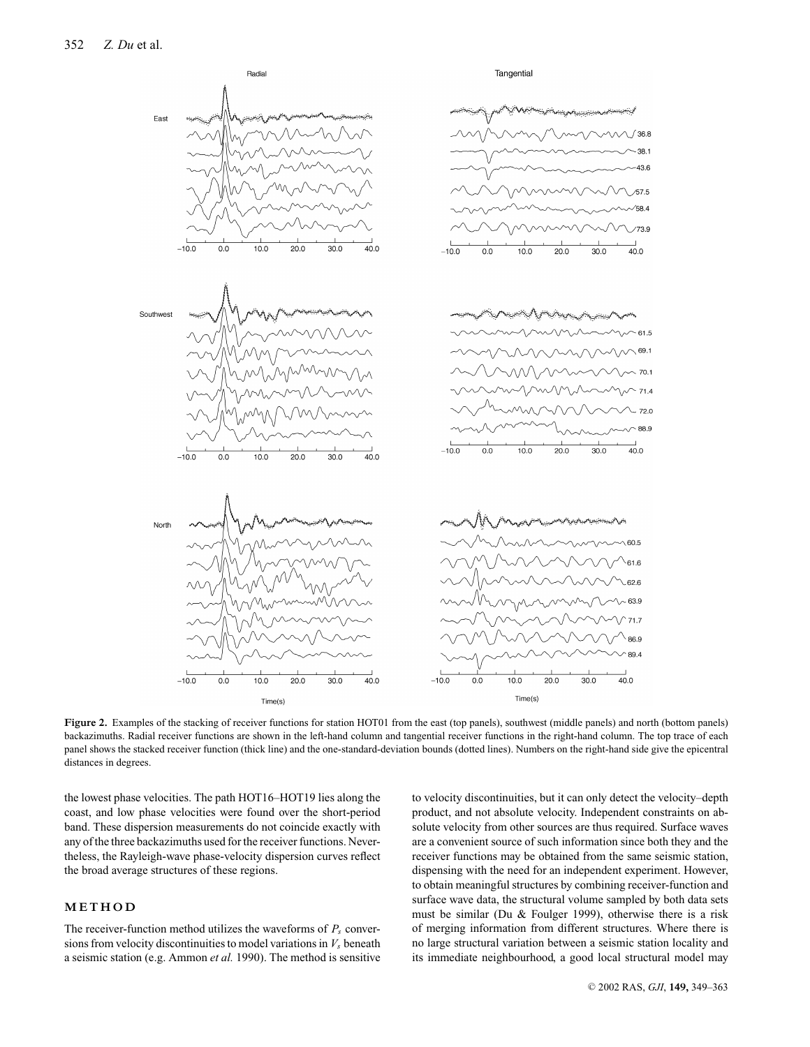

Figure 2. Examples of the stacking of receiver functions for station HOT01 from the east (top panels), southwest (middle panels) and north (bottom panels) backazimuths. Radial receiver functions are shown in the left-hand column and tangential receiver functions in the right-hand column. The top trace of each panel shows the stacked receiver function (thick line) and the one-standard-deviation bounds (dotted lines). Numbers on the right-hand side give the epicentral distances in degrees.

the lowest phase velocities. The path HOT16–HOT19 lies along the coast, and low phase velocities were found over the short-period band. These dispersion measurements do not coincide exactly with any of the three backazimuths used for the receiver functions. Nevertheless, the Rayleigh-wave phase-velocity dispersion curves reflect the broad average structures of these regions.

# **METHOD**

The receiver-function method utilizes the waveforms of  $P_s$  conversions from velocity discontinuities to model variations in  $V_s$  beneath a seismic station (e.g. Ammon *et al.* 1990). The method is sensitive to velocity discontinuities, but it can only detect the velocity–depth product, and not absolute velocity. Independent constraints on absolute velocity from other sources are thus required. Surface waves are a convenient source of such information since both they and the receiver functions may be obtained from the same seismic station, dispensing with the need for an independent experiment. However, to obtain meaningful structures by combining receiver-function and surface wave data, the structural volume sampled by both data sets must be similar (Du & Foulger 1999), otherwise there is a risk of merging information from different structures. Where there is no large structural variation between a seismic station locality and its immediate neighbourhood, a good local structural model may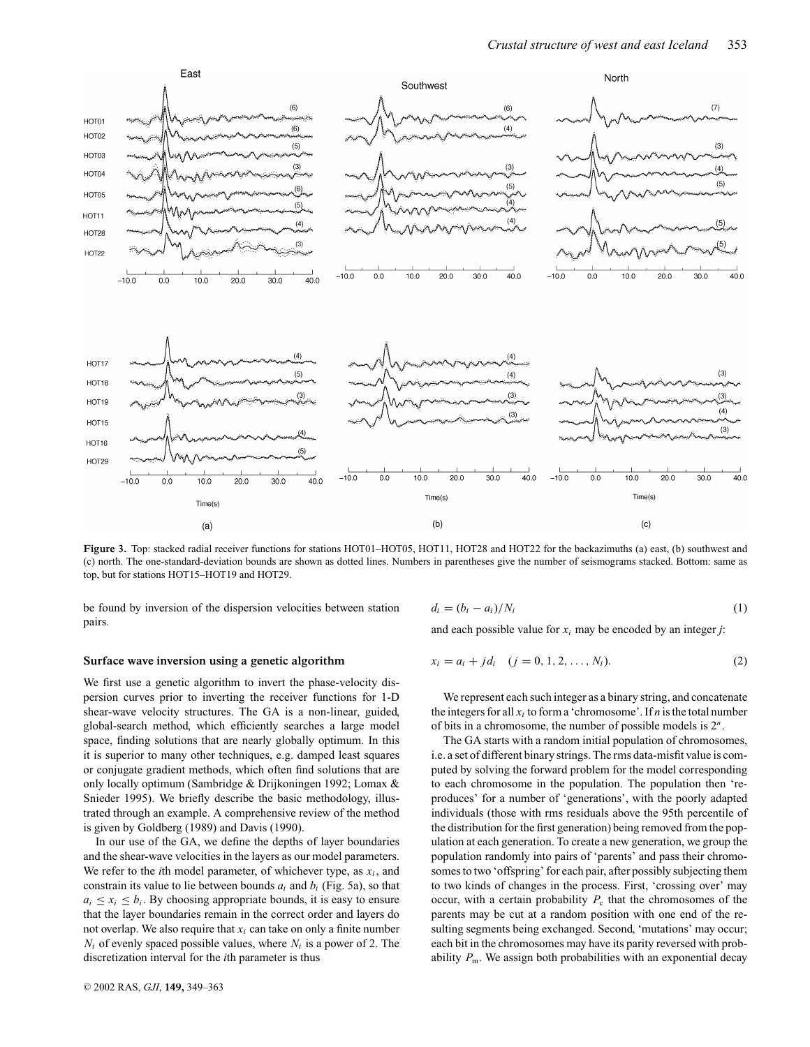

**Figure 3.** Top: stacked radial receiver functions for stations HOT01–HOT05, HOT11, HOT28 and HOT22 for the backazimuths (a) east, (b) southwest and (c) north. The one-standard-deviation bounds are shown as dotted lines. Numbers in parentheses give the number of seismograms stacked. Bottom: same as top, but for stations HOT15–HOT19 and HOT29.

be found by inversion of the dispersion velocities between station pairs.

$$
d_i = (b_i - a_i)/N_i \tag{1}
$$

#### **Surface wave inversion using a genetic algorithm**

We first use a genetic algorithm to invert the phase-velocity dispersion curves prior to inverting the receiver functions for 1-D shear-wave velocity structures. The GA is a non-linear, guided, global-search method, which efficiently searches a large model space, finding solutions that are nearly globally optimum. In this it is superior to many other techniques, e.g. damped least squares or conjugate gradient methods, which often find solutions that are only locally optimum (Sambridge & Drijkoningen 1992; Lomax & Snieder 1995). We briefly describe the basic methodology, illustrated through an example. A comprehensive review of the method is given by Goldberg (1989) and Davis (1990).

In our use of the GA, we define the depths of layer boundaries and the shear-wave velocities in the layers as our model parameters. We refer to the *i*th model parameter, of whichever type, as  $x_i$ , and constrain its value to lie between bounds  $a_i$  and  $b_i$  (Fig. 5a), so that  $a_i \leq x_i \leq b_i$ . By choosing appropriate bounds, it is easy to ensure that the layer boundaries remain in the correct order and layers do not overlap. We also require that  $x_i$  can take on only a finite number  $N_i$  of evenly spaced possible values, where  $N_i$  is a power of 2. The discretization interval for the *i*th parameter is thus

and each possible value for 
$$
x_i
$$
 may be encoded by an integer  $j$ :

$$
x_i = a_i + jd_i \quad (j = 0, 1, 2, \dots, N_i).
$$
 (2)

We represent each such integer as a binary string, and concatenate the integers for all  $x_i$  to form a 'chromosome'. If *n* is the total number of bits in a chromosome, the number of possible models is 2*<sup>n</sup>* .

The GA starts with a random initial population of chromosomes, i.e. a set of different binary strings. The rms data-misfit value is computed by solving the forward problem for the model corresponding to each chromosome in the population. The population then 'reproduces' for a number of 'generations', with the poorly adapted individuals (those with rms residuals above the 95th percentile of the distribution for the first generation) being removed from the population at each generation. To create a new generation, we group the population randomly into pairs of 'parents' and pass their chromosomes to two 'offspring' for each pair, after possibly subjecting them to two kinds of changes in the process. First, 'crossing over' may occur, with a certain probability  $P_c$  that the chromosomes of the parents may be cut at a random position with one end of the resulting segments being exchanged. Second, 'mutations' may occur; each bit in the chromosomes may have its parity reversed with probability *P*m. We assign both probabilities with an exponential decay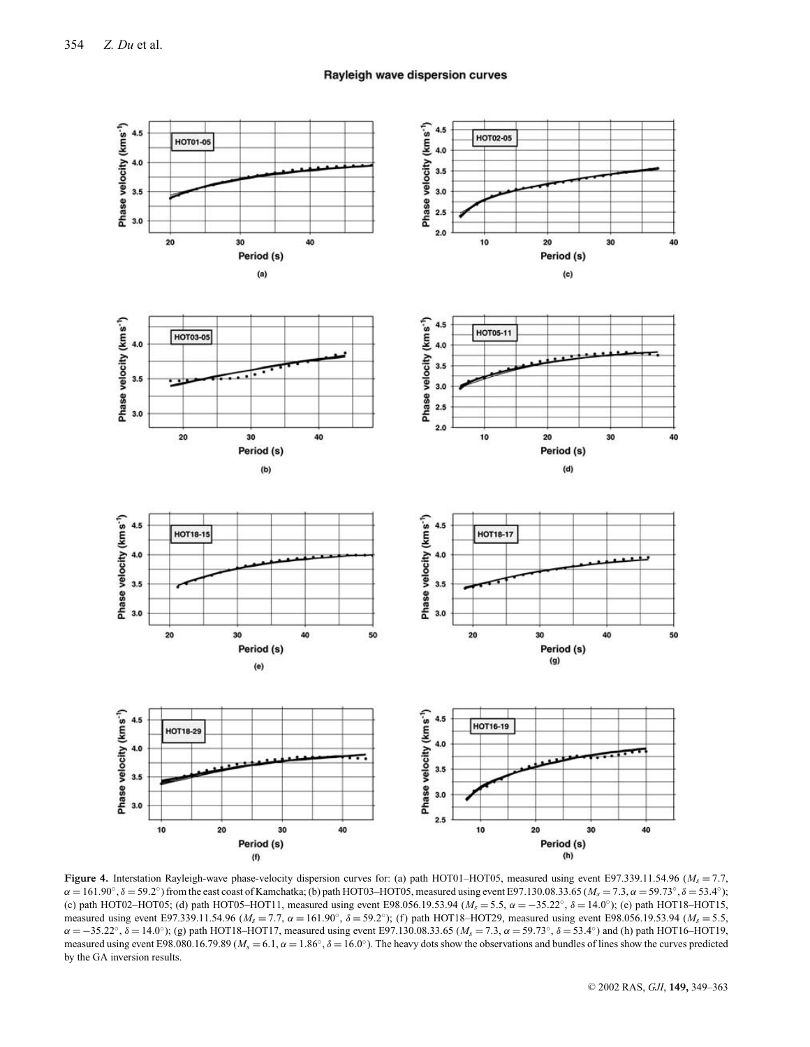## Rayleigh wave dispersion curves



**Figure 4.** Interstation Rayleigh-wave phase-velocity dispersion curves for: (a) path HOT01–HOT05, measured using event E97.339.11.54.96 ( $M_s = 7.7$ ,  $\alpha = 161.90°$ ,  $\delta = 59.2°$ ) from the east coast of Kamchatka; (b) path HOT03–HOT05, measured using event E97.130.08.33.65 ( $M_s = 7.3$ ,  $\alpha = 59.73°$ ,  $\delta = 53.4°$ ); (c) path HOT02–HOT05; (d) path HOT05–HOT11, measured using event E98.056.19.53.94 ( $M_s = 5.5$ ,  $\alpha = -35.22°$ ,  $\delta = 14.0°$ ); (e) path HOT18–HOT15, measured using event E97.339.11.54.96 ( $M_s = 7.7$ ,  $\alpha = 161.90°$ ,  $\delta = 59.2°$ ); (f) path HOT18–HOT29, measured using event E98.056.19.53.94 ( $M_s = 5.5$ ,  $\alpha = -35.22^{\circ}, \delta = 14.0^{\circ}$ ); (g) path HOT18–HOT17, measured using event E97.130.08.33.65 ( $M_s = 7.3$ ,  $\alpha = 59.73^{\circ}, \delta = 53.4^{\circ}$ ) and (h) path HOT16–HOT19, measured using event E98.080.16.79.89 ( $M_s = 6.1$ ,  $\alpha = 1.86^\circ$ ,  $\delta = 16.0^\circ$ ). The heavy dots show the observations and bundles of lines show the curves predicted by the GA inversion results.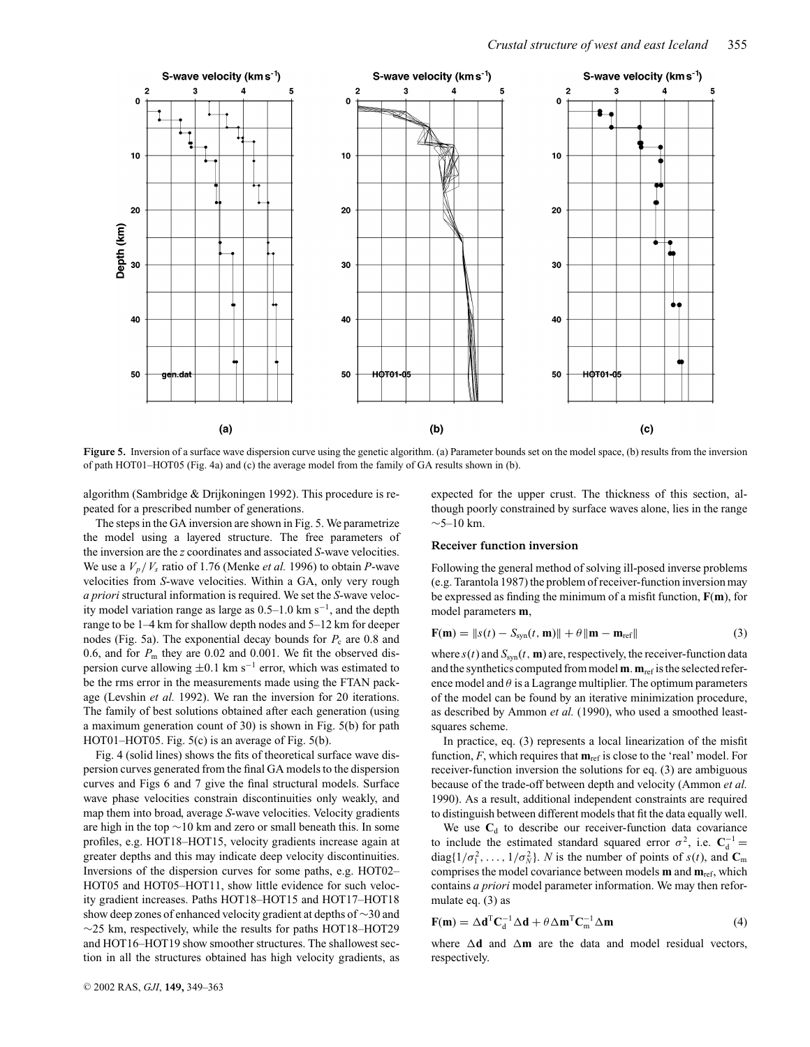

Figure 5. Inversion of a surface wave dispersion curve using the genetic algorithm. (a) Parameter bounds set on the model space, (b) results from the inversion of path HOT01–HOT05 (Fig. 4a) and (c) the average model from the family of GA results shown in (b).

algorithm (Sambridge & Drijkoningen 1992). This procedure is repeated for a prescribed number of generations.

The steps in the GA inversion are shown in Fig. 5. We parametrize the model using a layered structure. The free parameters of the inversion are the *z* coordinates and associated *S*-wave velocities. We use a *Vp*/*Vs* ratio of 1.76 (Menke *et al.* 1996) to obtain *P*-wave velocities from *S*-wave velocities. Within a GA, only very rough *a priori* structural information is required. We set the *S*-wave velocity model variation range as large as  $0.5-1.0 \text{ km s}^{-1}$ , and the depth range to be 1–4 km for shallow depth nodes and 5–12 km for deeper nodes (Fig. 5a). The exponential decay bounds for  $P_c$  are 0.8 and 0.6, and for  $P_m$  they are 0.02 and 0.001. We fit the observed dispersion curve allowing  $\pm 0.1$  km s<sup>-1</sup> error, which was estimated to be the rms error in the measurements made using the FTAN package (Levshin *et al.* 1992). We ran the inversion for 20 iterations. The family of best solutions obtained after each generation (using a maximum generation count of 30) is shown in Fig. 5(b) for path HOT01–HOT05. Fig. 5(c) is an average of Fig. 5(b).

Fig. 4 (solid lines) shows the fits of theoretical surface wave dispersion curves generated from the final GA models to the dispersion curves and Figs 6 and 7 give the final structural models. Surface wave phase velocities constrain discontinuities only weakly, and map them into broad, average *S*-wave velocities. Velocity gradients are high in the top ∼10 km and zero or small beneath this. In some profiles, e.g. HOT18–HOT15, velocity gradients increase again at greater depths and this may indicate deep velocity discontinuities. Inversions of the dispersion curves for some paths, e.g. HOT02– HOT05 and HOT05–HOT11, show little evidence for such velocity gradient increases. Paths HOT18–HOT15 and HOT17–HOT18 show deep zones of enhanced velocity gradient at depths of ∼30 and ∼25 km, respectively, while the results for paths HOT18–HOT29 and HOT16–HOT19 show smoother structures. The shallowest section in all the structures obtained has high velocity gradients, as

expected for the upper crust. The thickness of this section, although poorly constrained by surface waves alone, lies in the range ∼5–10 km.

## **Receiver function inversion**

Following the general method of solving ill-posed inverse problems (e.g. Tarantola 1987) the problem of receiver-function inversion may be expressed as finding the minimum of a misfit function, **F**(**m**), for model parameters **m**,

$$
\mathbf{F}(\mathbf{m}) = \|s(t) - S_{\text{syn}}(t, \mathbf{m})\| + \theta \|\mathbf{m} - \mathbf{m}_{\text{ref}}\| \tag{3}
$$

where  $s(t)$  and  $S_{syn}(t, \mathbf{m})$  are, respectively, the receiver-function data and the synthetics computed from model **m**. **m**ref is the selected reference model and  $\theta$  is a Lagrange multiplier. The optimum parameters of the model can be found by an iterative minimization procedure, as described by Ammon *et al.* (1990), who used a smoothed leastsquares scheme.

In practice, eq. (3) represents a local linearization of the misfit function,  $F$ , which requires that  $\mathbf{m}_{ref}$  is close to the 'real' model. For receiver-function inversion the solutions for eq. (3) are ambiguous because of the trade-off between depth and velocity (Ammon *et al.* 1990). As a result, additional independent constraints are required to distinguish between different models that fit the data equally well.

We use  $C_d$  to describe our receiver-function data covariance to include the estimated standard squared error  $\sigma^2$ , i.e.  $\mathbf{C}_d^{-1} =$ diag $\{1/\sigma_1^2, \ldots, 1/\sigma_N^2\}$ . *N* is the number of points of *s*(*t*), and **C**<sub>m</sub> comprises the model covariance between models **m** and **m**ref, which contains *a priori* model parameter information. We may then reformulate eq. (3) as

$$
\mathbf{F}(\mathbf{m}) = \Delta \mathbf{d}^{\mathrm{T}} \mathbf{C}_{\mathrm{d}}^{-1} \Delta \mathbf{d} + \theta \Delta \mathbf{m}^{\mathrm{T}} \mathbf{C}_{\mathrm{m}}^{-1} \Delta \mathbf{m}
$$
(4)

where  $\Delta$ **d** and  $\Delta$ **m** are the data and model residual vectors, respectively.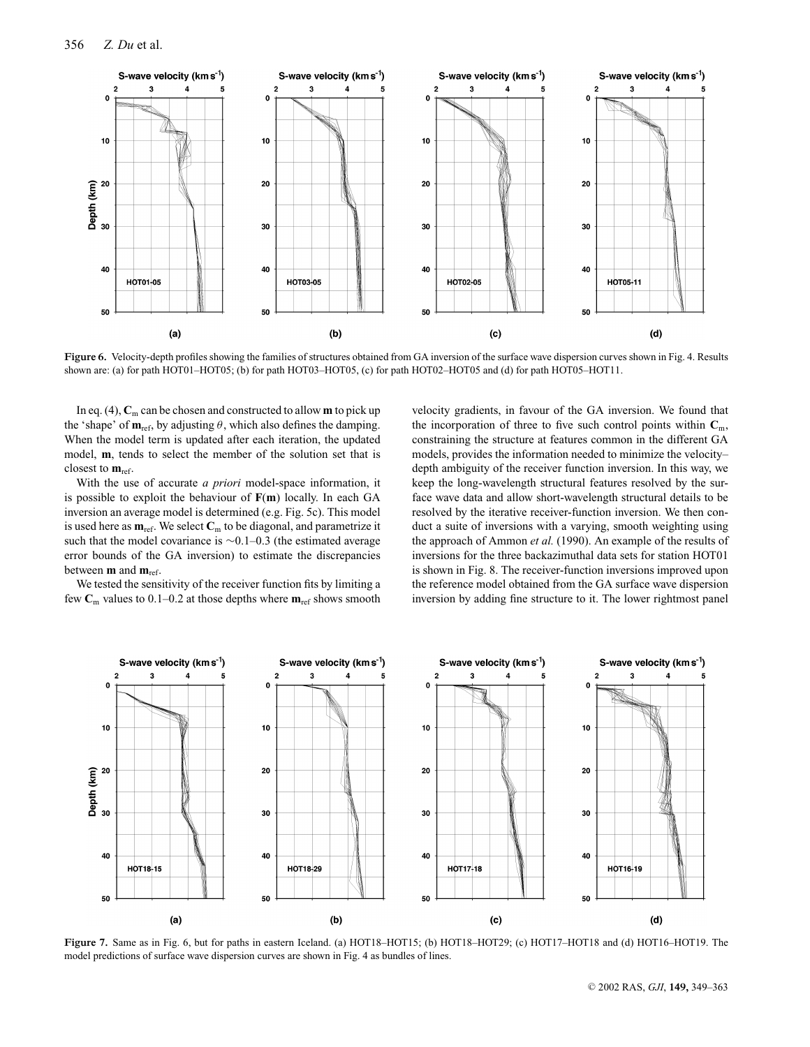

**Figure 6.** Velocity-depth profiles showing the families of structures obtained from GA inversion of the surface wave dispersion curves shown in Fig. 4. Results shown are: (a) for path HOT01–HOT05; (b) for path HOT03–HOT05, (c) for path HOT02–HOT05 and (d) for path HOT05–HOT11.

In eq. (4),  $C_m$  can be chosen and constructed to allow **m** to pick up the 'shape' of  $m_{ref}$ , by adjusting  $\theta$ , which also defines the damping. When the model term is updated after each iteration, the updated model, **m**, tends to select the member of the solution set that is closest to **m**ref.

With the use of accurate *a priori* model-space information, it is possible to exploit the behaviour of **F**(**m**) locally. In each GA inversion an average model is determined (e.g. Fig. 5c). This model is used here as **m**ref. We select **C**<sup>m</sup> to be diagonal, and parametrize it such that the model covariance is ∼0.1–0.3 (the estimated average error bounds of the GA inversion) to estimate the discrepancies between **m** and **m**ref.

We tested the sensitivity of the receiver function fits by limiting a few  $C_m$  values to 0.1–0.2 at those depths where  $m_{ref}$  shows smooth

velocity gradients, in favour of the GA inversion. We found that the incorporation of three to five such control points within  $C_m$ , constraining the structure at features common in the different GA models, provides the information needed to minimize the velocity– depth ambiguity of the receiver function inversion. In this way, we keep the long-wavelength structural features resolved by the surface wave data and allow short-wavelength structural details to be resolved by the iterative receiver-function inversion. We then conduct a suite of inversions with a varying, smooth weighting using the approach of Ammon *et al.* (1990). An example of the results of inversions for the three backazimuthal data sets for station HOT01 is shown in Fig. 8. The receiver-function inversions improved upon the reference model obtained from the GA surface wave dispersion inversion by adding fine structure to it. The lower rightmost panel



**Figure 7.** Same as in Fig. 6, but for paths in eastern Iceland. (a) HOT18–HOT15; (b) HOT18–HOT29; (c) HOT17–HOT18 and (d) HOT16–HOT19. The model predictions of surface wave dispersion curves are shown in Fig. 4 as bundles of lines.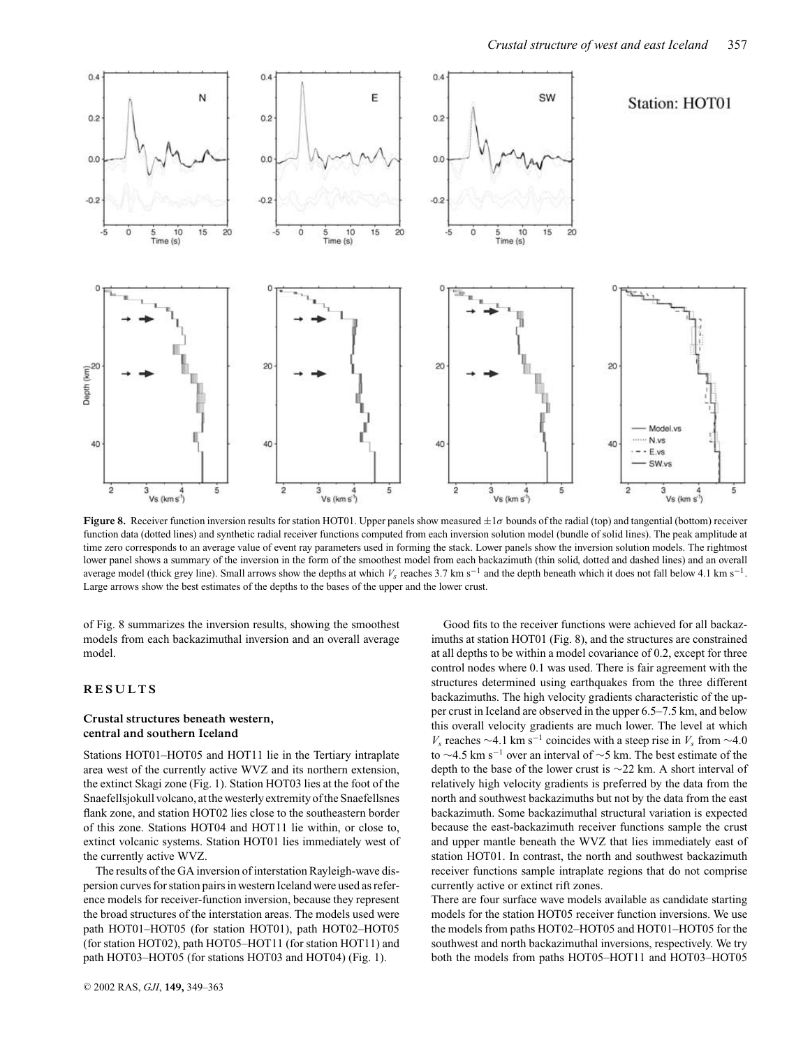

**Figure 8.** Receiver function inversion results for station HOT01. Upper panels show measured  $\pm 1\sigma$  bounds of the radial (top) and tangential (bottom) receiver function data (dotted lines) and synthetic radial receiver functions computed from each inversion solution model (bundle of solid lines). The peak amplitude at time zero corresponds to an average value of event ray parameters used in forming the stack. Lower panels show the inversion solution models. The rightmost lower panel shows a summary of the inversion in the form of the smoothest model from each backazimuth (thin solid, dotted and dashed lines) and an overall average model (thick grey line). Small arrows show the depths at which *Vs* reaches 3.7 km s−<sup>1</sup> and the depth beneath which it does not fall below 4.1 km s<sup>−</sup>1. Large arrows show the best estimates of the depths to the bases of the upper and the lower crust.

of Fig. 8 summarizes the inversion results, showing the smoothest models from each backazimuthal inversion and an overall average model.

## **RESULTS**

# **Crustal structures beneath western, central and southern Iceland**

Stations HOT01–HOT05 and HOT11 lie in the Tertiary intraplate area west of the currently active WVZ and its northern extension, the extinct Skagi zone (Fig. 1). Station HOT03 lies at the foot of the Snaefellsjokull volcano, at the westerly extremity of the Snaefellsnes flank zone, and station HOT02 lies close to the southeastern border of this zone. Stations HOT04 and HOT11 lie within, or close to, extinct volcanic systems. Station HOT01 lies immediately west of the currently active WVZ.

The results of the GA inversion of interstation Rayleigh-wave dispersion curves for station pairs in western Iceland were used as reference models for receiver-function inversion, because they represent the broad structures of the interstation areas. The models used were path HOT01–HOT05 (for station HOT01), path HOT02–HOT05 (for station HOT02), path HOT05–HOT11 (for station HOT11) and path HOT03–HOT05 (for stations HOT03 and HOT04) (Fig. 1).

Good fits to the receiver functions were achieved for all backazimuths at station HOT01 (Fig. 8), and the structures are constrained at all depths to be within a model covariance of 0.2, except for three control nodes where 0.1 was used. There is fair agreement with the structures determined using earthquakes from the three different backazimuths. The high velocity gradients characteristic of the upper crust in Iceland are observed in the upper 6.5–7.5 km, and below this overall velocity gradients are much lower. The level at which *V<sub>s</sub>* reaches  $\sim$ 4.1 km s<sup>−1</sup> coincides with a steep rise in *V<sub>s</sub>* from  $\sim$ 4.0 to ∼4.5 km s<sup>−</sup><sup>1</sup> over an interval of ∼5 km. The best estimate of the depth to the base of the lower crust is ∼22 km. A short interval of relatively high velocity gradients is preferred by the data from the north and southwest backazimuths but not by the data from the east backazimuth. Some backazimuthal structural variation is expected because the east-backazimuth receiver functions sample the crust and upper mantle beneath the WVZ that lies immediately east of station HOT01. In contrast, the north and southwest backazimuth receiver functions sample intraplate regions that do not comprise currently active or extinct rift zones.

There are four surface wave models available as candidate starting models for the station HOT05 receiver function inversions. We use the models from paths HOT02–HOT05 and HOT01–HOT05 for the southwest and north backazimuthal inversions, respectively. We try both the models from paths HOT05–HOT11 and HOT03–HOT05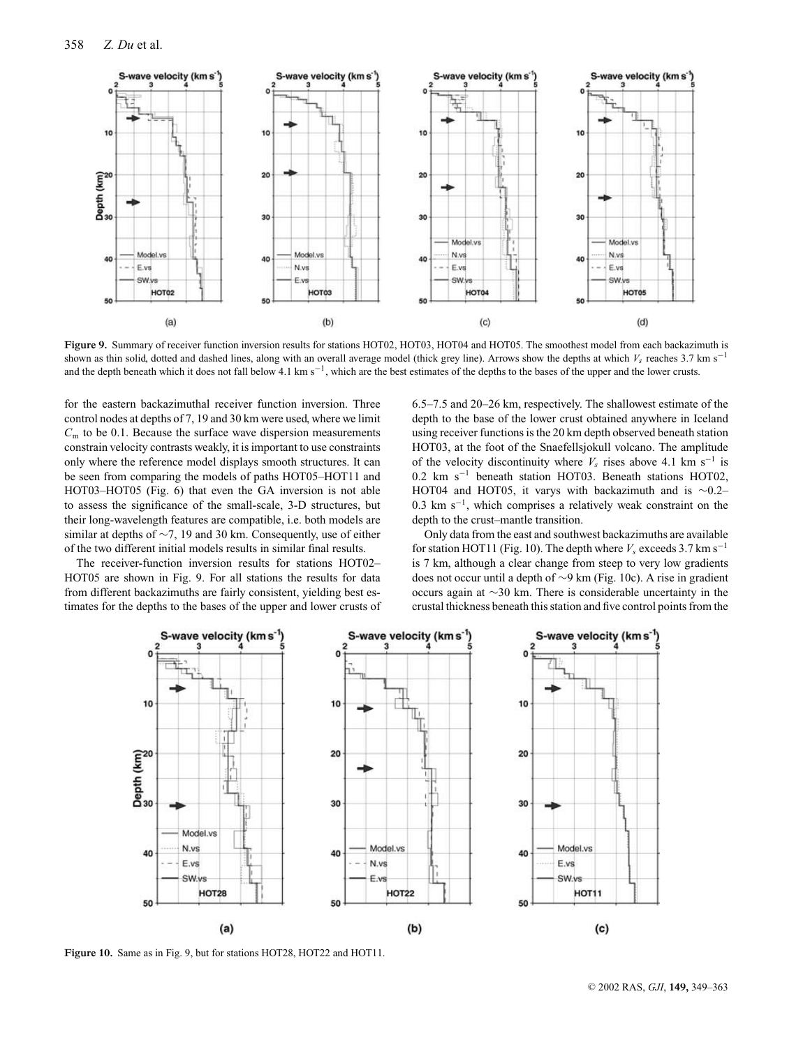

**Figure 9.** Summary of receiver function inversion results for stations HOT02, HOT03, HOT04 and HOT05. The smoothest model from each backazimuth is shown as thin solid, dotted and dashed lines, along with an overall average model (thick grey line). Arrows show the depths at which *Vs* reaches 3.7 km s−<sup>1</sup> and the depth beneath which it does not fall below 4.1 km s<sup>−1</sup>, which are the best estimates of the depths to the bases of the upper and the lower crusts.

for the eastern backazimuthal receiver function inversion. Three control nodes at depths of 7, 19 and 30 km were used, where we limit  $C<sub>m</sub>$  to be 0.1. Because the surface wave dispersion measurements constrain velocity contrasts weakly, it is important to use constraints only where the reference model displays smooth structures. It can be seen from comparing the models of paths HOT05–HOT11 and HOT03–HOT05 (Fig. 6) that even the GA inversion is not able to assess the significance of the small-scale, 3-D structures, but their long-wavelength features are compatible, i.e. both models are similar at depths of ∼7, 19 and 30 km. Consequently, use of either of the two different initial models results in similar final results.

The receiver-function inversion results for stations HOT02– HOT05 are shown in Fig. 9. For all stations the results for data from different backazimuths are fairly consistent, yielding best estimates for the depths to the bases of the upper and lower crusts of

6.5–7.5 and 20–26 km, respectively. The shallowest estimate of the depth to the base of the lower crust obtained anywhere in Iceland using receiver functions is the 20 km depth observed beneath station HOT03, at the foot of the Snaefellsjokull volcano. The amplitude of the velocity discontinuity where  $V_s$  rises above 4.1 km s<sup>-1</sup> is 0.2 km s<sup>−</sup><sup>1</sup> beneath station HOT03. Beneath stations HOT02, HOT04 and HOT05, it varys with backazimuth and is ∼0.2– 0.3 km s<sup>−</sup>1, which comprises a relatively weak constraint on the depth to the crust–mantle transition.

Only data from the east and southwest backazimuths are available for station HOT11 (Fig. 10). The depth where  $V_s$  exceeds 3.7 km s<sup>-1</sup> is 7 km, although a clear change from steep to very low gradients does not occur until a depth of ∼9 km (Fig. 10c). A rise in gradient occurs again at ∼30 km. There is considerable uncertainty in the crustal thickness beneath this station and five control points from the



**Figure 10.** Same as in Fig. 9, but for stations HOT28, HOT22 and HOT11.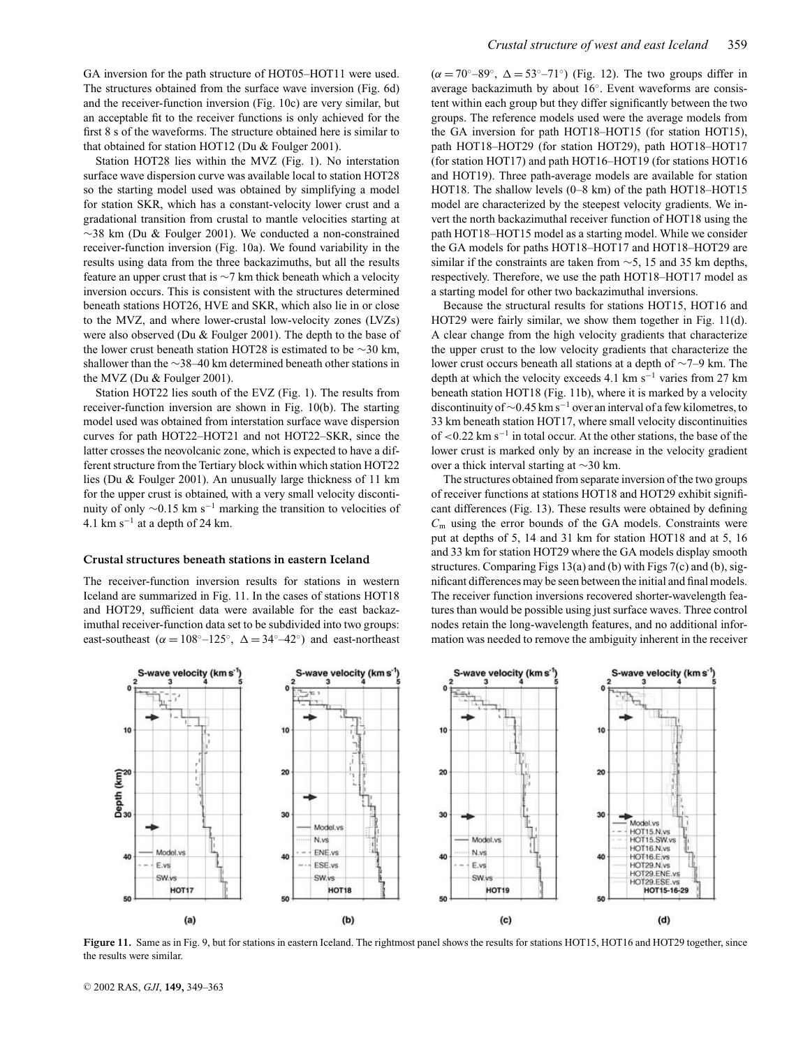GA inversion for the path structure of HOT05–HOT11 were used. The structures obtained from the surface wave inversion (Fig. 6d) and the receiver-function inversion (Fig. 10c) are very similar, but an acceptable fit to the receiver functions is only achieved for the first 8 s of the waveforms. The structure obtained here is similar to that obtained for station HOT12 (Du & Foulger 2001).

Station HOT28 lies within the MVZ (Fig. 1). No interstation surface wave dispersion curve was available local to station HOT28 so the starting model used was obtained by simplifying a model for station SKR, which has a constant-velocity lower crust and a gradational transition from crustal to mantle velocities starting at ∼38 km (Du & Foulger 2001). We conducted a non-constrained receiver-function inversion (Fig. 10a). We found variability in the results using data from the three backazimuths, but all the results feature an upper crust that is ∼7 km thick beneath which a velocity inversion occurs. This is consistent with the structures determined beneath stations HOT26, HVE and SKR, which also lie in or close to the MVZ, and where lower-crustal low-velocity zones (LVZs) were also observed (Du & Foulger 2001). The depth to the base of the lower crust beneath station HOT28 is estimated to be ∼30 km, shallower than the ∼38–40 km determined beneath other stations in the MVZ (Du & Foulger 2001).

Station HOT22 lies south of the EVZ (Fig. 1). The results from receiver-function inversion are shown in Fig. 10(b). The starting model used was obtained from interstation surface wave dispersion curves for path HOT22–HOT21 and not HOT22–SKR, since the latter crosses the neovolcanic zone, which is expected to have a different structure from the Tertiary block within which station HOT22 lies (Du & Foulger 2001). An unusually large thickness of 11 km for the upper crust is obtained, with a very small velocity discontinuity of only  $\sim$ 0.15 km s<sup>-1</sup> marking the transition to velocities of 4.1 km s<sup> $-1$ </sup> at a depth of 24 km.

#### **Crustal structures beneath stations in eastern Iceland**

The receiver-function inversion results for stations in western Iceland are summarized in Fig. 11. In the cases of stations HOT18 and HOT29, sufficient data were available for the east backazimuthal receiver-function data set to be subdivided into two groups: east-southeast ( $\alpha = 108^\circ - 125^\circ$ ,  $\Delta = 34^\circ - 42^\circ$ ) and east-northeast

 $(\alpha = 70^{\circ} - 89^{\circ}, \Delta = 53^{\circ} - 71^{\circ})$  (Fig. 12). The two groups differ in average backazimuth by about 16◦. Event waveforms are consistent within each group but they differ significantly between the two groups. The reference models used were the average models from the GA inversion for path HOT18–HOT15 (for station HOT15), path HOT18–HOT29 (for station HOT29), path HOT18–HOT17 (for station HOT17) and path HOT16–HOT19 (for stations HOT16 and HOT19). Three path-average models are available for station HOT18. The shallow levels (0–8 km) of the path HOT18–HOT15 model are characterized by the steepest velocity gradients. We invert the north backazimuthal receiver function of HOT18 using the path HOT18–HOT15 model as a starting model. While we consider the GA models for paths HOT18–HOT17 and HOT18–HOT29 are similar if the constraints are taken from ∼5, 15 and 35 km depths, respectively. Therefore, we use the path HOT18–HOT17 model as a starting model for other two backazimuthal inversions.

Because the structural results for stations HOT15, HOT16 and HOT29 were fairly similar, we show them together in Fig. 11(d). A clear change from the high velocity gradients that characterize the upper crust to the low velocity gradients that characterize the lower crust occurs beneath all stations at a depth of ∼7–9 km. The depth at which the velocity exceeds 4.1 km s<sup>−</sup><sup>1</sup> varies from 27 km beneath station HOT18 (Fig. 11b), where it is marked by a velocity discontinuity of  $\sim$ 0.45 km s<sup>-1</sup> over an interval of a few kilometres, to 33 km beneath station HOT17, where small velocity discontinuities of <0.22 km s<sup> $-1$ </sup> in total occur. At the other stations, the base of the lower crust is marked only by an increase in the velocity gradient over a thick interval starting at ∼30 km.

The structures obtained from separate inversion of the two groups of receiver functions at stations HOT18 and HOT29 exhibit significant differences (Fig. 13). These results were obtained by defining *C*<sup>m</sup> using the error bounds of the GA models. Constraints were put at depths of 5, 14 and 31 km for station HOT18 and at 5, 16 and 33 km for station HOT29 where the GA models display smooth structures. Comparing Figs 13(a) and (b) with Figs 7(c) and (b), significant differences may be seen between the initial and final models. The receiver function inversions recovered shorter-wavelength features than would be possible using just surface waves. Three control nodes retain the long-wavelength features, and no additional information was needed to remove the ambiguity inherent in the receiver



**Figure 11.** Same as in Fig. 9, but for stations in eastern Iceland. The rightmost panel shows the results for stations HOT15, HOT16 and HOT29 together, since the results were similar.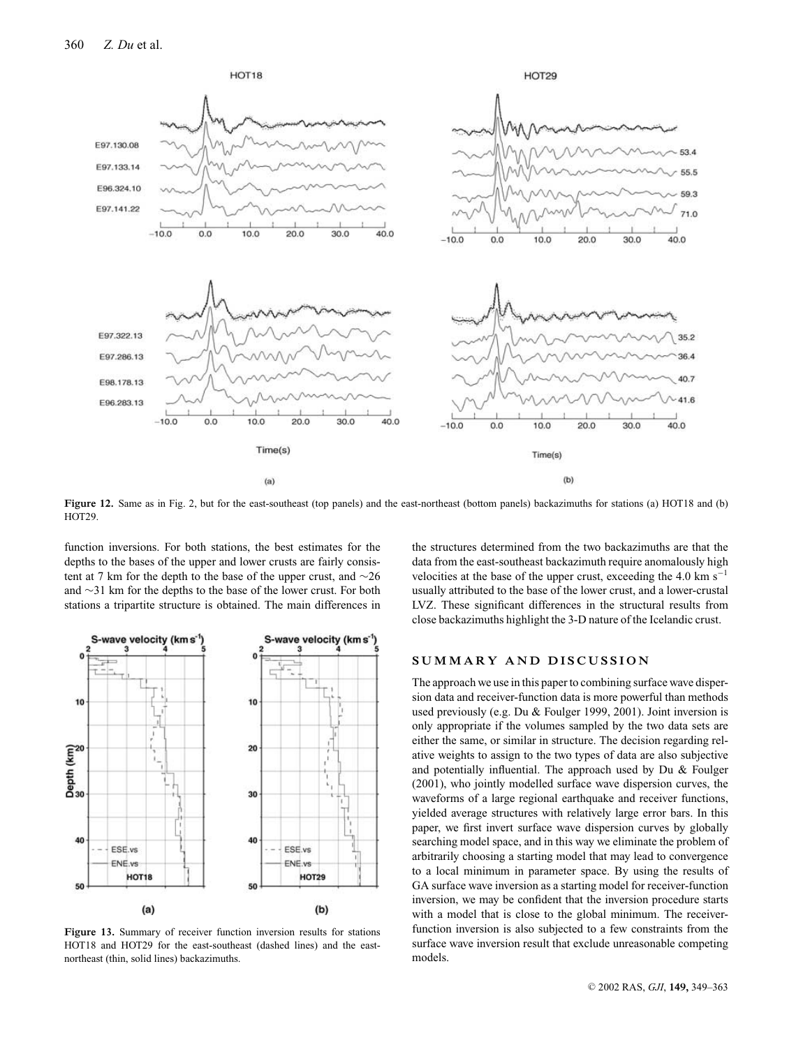

**Figure 12.** Same as in Fig. 2, but for the east-southeast (top panels) and the east-northeast (bottom panels) backazimuths for stations (a) HOT18 and (b) HOT<sub>29</sub>

function inversions. For both stations, the best estimates for the depths to the bases of the upper and lower crusts are fairly consistent at 7 km for the depth to the base of the upper crust, and ∼26 and ∼31 km for the depths to the base of the lower crust. For both stations a tripartite structure is obtained. The main differences in



**Figure 13.** Summary of receiver function inversion results for stations HOT18 and HOT29 for the east-southeast (dashed lines) and the eastnortheast (thin, solid lines) backazimuths.

the structures determined from the two backazimuths are that the data from the east-southeast backazimuth require anomalously high velocities at the base of the upper crust, exceeding the 4.0 km s<sup> $-1$ </sup> usually attributed to the base of the lower crust, and a lower-crustal LVZ. These significant differences in the structural results from close backazimuths highlight the 3-D nature of the Icelandic crust.

# **SUMMARY AND DISCUSSION**

The approach we use in this paper to combining surface wave dispersion data and receiver-function data is more powerful than methods used previously (e.g. Du & Foulger 1999, 2001). Joint inversion is only appropriate if the volumes sampled by the two data sets are either the same, or similar in structure. The decision regarding relative weights to assign to the two types of data are also subjective and potentially influential. The approach used by Du & Foulger (2001), who jointly modelled surface wave dispersion curves, the waveforms of a large regional earthquake and receiver functions, yielded average structures with relatively large error bars. In this paper, we first invert surface wave dispersion curves by globally searching model space, and in this way we eliminate the problem of arbitrarily choosing a starting model that may lead to convergence to a local minimum in parameter space. By using the results of GA surface wave inversion as a starting model for receiver-function inversion, we may be confident that the inversion procedure starts with a model that is close to the global minimum. The receiverfunction inversion is also subjected to a few constraints from the surface wave inversion result that exclude unreasonable competing models.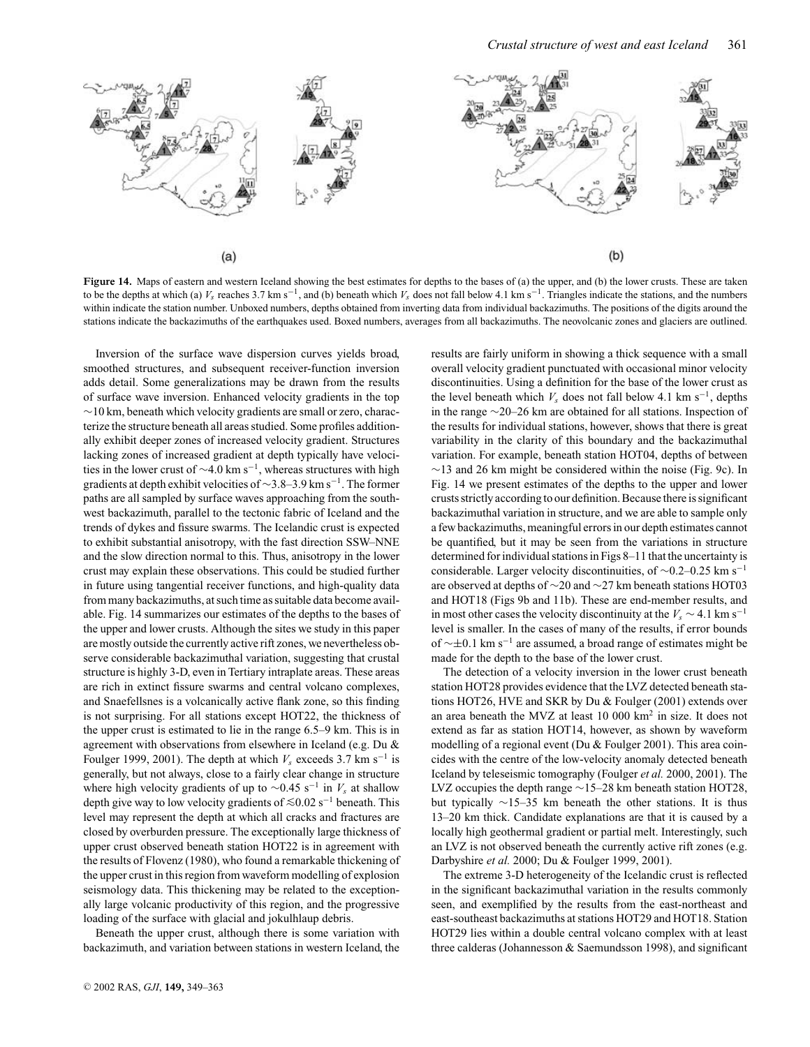

Figure 14. Maps of eastern and western Iceland showing the best estimates for depths to the bases of (a) the upper, and (b) the lower crusts. These are taken to be the depths at which (a)  $V_s$  reaches 3.7 km s<sup>−1</sup>, and (b) beneath which  $V_s$  does not fall below 4.1 km s<sup>−1</sup>. Triangles indicate the stations, and the numbers within indicate the station number. Unboxed numbers, depths obtained from inverting data from individual backazimuths. The positions of the digits around the stations indicate the backazimuths of the earthquakes used. Boxed numbers, averages from all backazimuths. The neovolcanic zones and glaciers are outlined.

Inversion of the surface wave dispersion curves yields broad, smoothed structures, and subsequent receiver-function inversion adds detail. Some generalizations may be drawn from the results of surface wave inversion. Enhanced velocity gradients in the top ∼10 km, beneath which velocity gradients are small or zero, characterize the structure beneath all areas studied. Some profiles additionally exhibit deeper zones of increased velocity gradient. Structures lacking zones of increased gradient at depth typically have velocities in the lower crust of  $\sim$ 4.0 km s<sup>-1</sup>, whereas structures with high gradients at depth exhibit velocities of ∼3.8–3.9 km s<sup>−</sup>1. The former paths are all sampled by surface waves approaching from the southwest backazimuth, parallel to the tectonic fabric of Iceland and the trends of dykes and fissure swarms. The Icelandic crust is expected to exhibit substantial anisotropy, with the fast direction SSW–NNE and the slow direction normal to this. Thus, anisotropy in the lower crust may explain these observations. This could be studied further in future using tangential receiver functions, and high-quality data from many backazimuths, at such time as suitable data become available. Fig. 14 summarizes our estimates of the depths to the bases of the upper and lower crusts. Although the sites we study in this paper are mostly outside the currently active rift zones, we nevertheless observe considerable backazimuthal variation, suggesting that crustal structure is highly 3-D, even in Tertiary intraplate areas. These areas are rich in extinct fissure swarms and central volcano complexes, and Snaefellsnes is a volcanically active flank zone, so this finding is not surprising. For all stations except HOT22, the thickness of the upper crust is estimated to lie in the range 6.5–9 km. This is in agreement with observations from elsewhere in Iceland (e.g. Du & Foulger 1999, 2001). The depth at which  $V_s$  exceeds 3.7 km s<sup>-1</sup> is generally, but not always, close to a fairly clear change in structure where high velocity gradients of up to  $\sim$ 0.45 s<sup>-1</sup> in  $V_s$  at shallow depth give way to low velocity gradients of  $\leq 0.02$  s<sup>−1</sup> beneath. This level may represent the depth at which all cracks and fractures are closed by overburden pressure. The exceptionally large thickness of upper crust observed beneath station HOT22 is in agreement with the results of Flovenz (1980), who found a remarkable thickening of the upper crust in this region from waveform modelling of explosion seismology data. This thickening may be related to the exceptionally large volcanic productivity of this region, and the progressive loading of the surface with glacial and jokulhlaup debris.

Beneath the upper crust, although there is some variation with backazimuth, and variation between stations in western Iceland, the overall velocity gradient punctuated with occasional minor velocity discontinuities. Using a definition for the base of the lower crust as the level beneath which  $V_s$  does not fall below 4.1 km s<sup>-1</sup>, depths in the range ∼20–26 km are obtained for all stations. Inspection of the results for individual stations, however, shows that there is great variability in the clarity of this boundary and the backazimuthal variation. For example, beneath station HOT04, depths of between ∼13 and 26 km might be considered within the noise (Fig. 9c). In Fig. 14 we present estimates of the depths to the upper and lower crusts strictly according to our definition. Because there is significant backazimuthal variation in structure, and we are able to sample only a few backazimuths, meaningful errors in our depth estimates cannot be quantified, but it may be seen from the variations in structure determined for individual stations in Figs 8–11 that the uncertainty is considerable. Larger velocity discontinuities, of  $\sim$ 0.2–0.25 km s<sup>-1</sup> are observed at depths of ∼20 and ∼27 km beneath stations HOT03 and HOT18 (Figs 9b and 11b). These are end-member results, and in most other cases the velocity discontinuity at the  $V_s \sim 4.1$  km s<sup>-1</sup> level is smaller. In the cases of many of the results, if error bounds of  $\sim \pm 0.1$  km s<sup>-1</sup> are assumed, a broad range of estimates might be made for the depth to the base of the lower crust. The detection of a velocity inversion in the lower crust beneath

results are fairly uniform in showing a thick sequence with a small

station HOT28 provides evidence that the LVZ detected beneath stations HOT26, HVE and SKR by Du & Foulger (2001) extends over an area beneath the MVZ at least 10 000 km<sup>2</sup> in size. It does not extend as far as station HOT14, however, as shown by waveform modelling of a regional event (Du & Foulger 2001). This area coincides with the centre of the low-velocity anomaly detected beneath Iceland by teleseismic tomography (Foulger *et al.* 2000, 2001). The LVZ occupies the depth range ∼15–28 km beneath station HOT28, but typically ∼15–35 km beneath the other stations. It is thus 13–20 km thick. Candidate explanations are that it is caused by a locally high geothermal gradient or partial melt. Interestingly, such an LVZ is not observed beneath the currently active rift zones (e.g. Darbyshire *et al.* 2000; Du & Foulger 1999, 2001).

The extreme 3-D heterogeneity of the Icelandic crust is reflected in the significant backazimuthal variation in the results commonly seen, and exemplified by the results from the east-northeast and east-southeast backazimuths at stations HOT29 and HOT18. Station HOT29 lies within a double central volcano complex with at least three calderas (Johannesson & Saemundsson 1998), and significant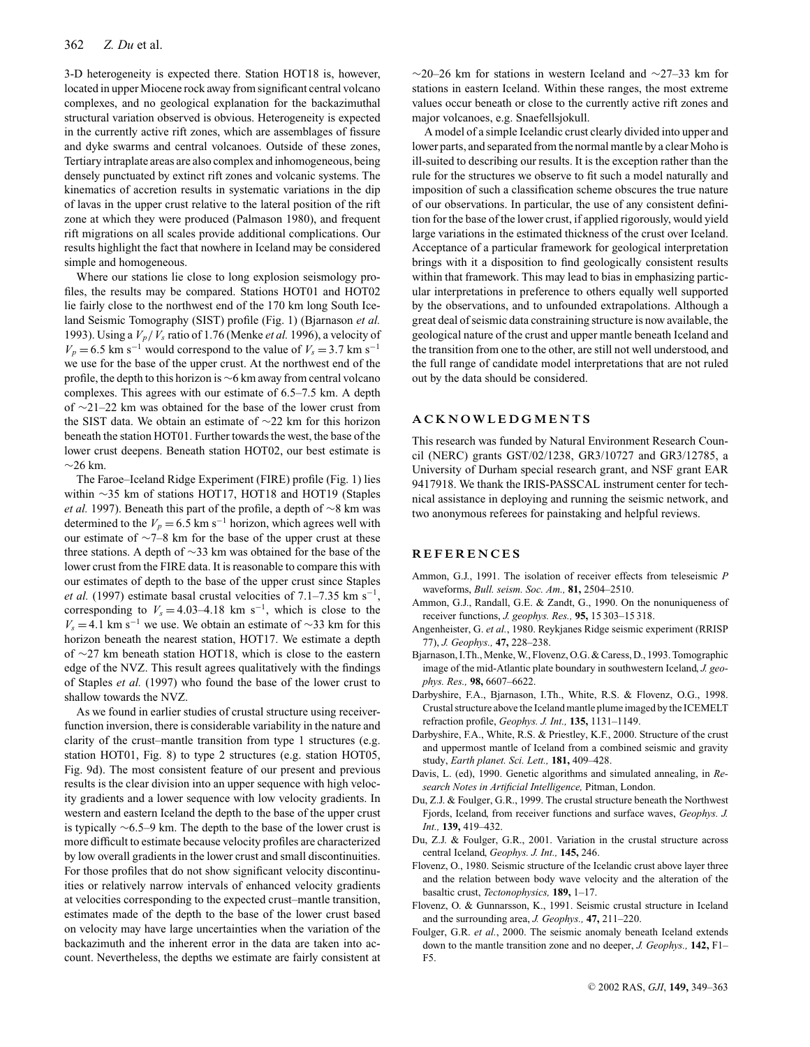3-D heterogeneity is expected there. Station HOT18 is, however, located in upper Miocene rock away from significant central volcano complexes, and no geological explanation for the backazimuthal structural variation observed is obvious. Heterogeneity is expected in the currently active rift zones, which are assemblages of fissure and dyke swarms and central volcanoes. Outside of these zones, Tertiary intraplate areas are also complex and inhomogeneous, being densely punctuated by extinct rift zones and volcanic systems. The kinematics of accretion results in systematic variations in the dip of lavas in the upper crust relative to the lateral position of the rift zone at which they were produced (Palmason 1980), and frequent rift migrations on all scales provide additional complications. Our results highlight the fact that nowhere in Iceland may be considered simple and homogeneous.

Where our stations lie close to long explosion seismology profiles, the results may be compared. Stations HOT01 and HOT02 lie fairly close to the northwest end of the 170 km long South Iceland Seismic Tomography (SIST) profile (Fig. 1) (Bjarnason *et al.* 1993). Using a *Vp*/*Vs* ratio of 1.76 (Menke *et al.* 1996), a velocity of  $V_p = 6.5$  km s<sup>−1</sup> would correspond to the value of  $V_s = 3.7$  km s<sup>−1</sup> we use for the base of the upper crust. At the northwest end of the profile, the depth to this horizon is ∼6 km away from central volcano complexes. This agrees with our estimate of 6.5–7.5 km. A depth of ∼21–22 km was obtained for the base of the lower crust from the SIST data. We obtain an estimate of ∼22 km for this horizon beneath the station HOT01. Further towards the west, the base of the lower crust deepens. Beneath station HOT02, our best estimate is ∼26 km.

The Faroe–Iceland Ridge Experiment (FIRE) profile (Fig. 1) lies within ∼35 km of stations HOT17, HOT18 and HOT19 (Staples *et al.* 1997). Beneath this part of the profile, a depth of ∼8 km was determined to the  $V_p = 6.5$  km s<sup>-1</sup> horizon, which agrees well with our estimate of ∼7–8 km for the base of the upper crust at these three stations. A depth of ∼33 km was obtained for the base of the lower crust from the FIRE data. It is reasonable to compare this with our estimates of depth to the base of the upper crust since Staples *et al.* (1997) estimate basal crustal velocities of  $7.1-7.35$  km s<sup>-1</sup>, corresponding to  $V_s = 4.03-4.18$  km s<sup>-1</sup>, which is close to the  $V_s$  = 4.1 km s<sup>−1</sup> we use. We obtain an estimate of  $\sim$ 33 km for this horizon beneath the nearest station, HOT17. We estimate a depth of ∼27 km beneath station HOT18, which is close to the eastern edge of the NVZ. This result agrees qualitatively with the findings of Staples *et al.* (1997) who found the base of the lower crust to shallow towards the NVZ.

As we found in earlier studies of crustal structure using receiverfunction inversion, there is considerable variability in the nature and clarity of the crust–mantle transition from type 1 structures (e.g. station HOT01, Fig. 8) to type 2 structures (e.g. station HOT05, Fig. 9d). The most consistent feature of our present and previous results is the clear division into an upper sequence with high velocity gradients and a lower sequence with low velocity gradients. In western and eastern Iceland the depth to the base of the upper crust is typically ∼6.5–9 km. The depth to the base of the lower crust is more difficult to estimate because velocity profiles are characterized by low overall gradients in the lower crust and small discontinuities. For those profiles that do not show significant velocity discontinuities or relatively narrow intervals of enhanced velocity gradients at velocities corresponding to the expected crust–mantle transition, estimates made of the depth to the base of the lower crust based on velocity may have large uncertainties when the variation of the backazimuth and the inherent error in the data are taken into account. Nevertheless, the depths we estimate are fairly consistent at ∼20–26 km for stations in western Iceland and ∼27–33 km for stations in eastern Iceland. Within these ranges, the most extreme values occur beneath or close to the currently active rift zones and major volcanoes, e.g. Snaefellsjokull.

A model of a simple Icelandic crust clearly divided into upper and lower parts, and separated from the normal mantle by a clear Moho is ill-suited to describing our results. It is the exception rather than the rule for the structures we observe to fit such a model naturally and imposition of such a classification scheme obscures the true nature of our observations. In particular, the use of any consistent definition for the base of the lower crust, if applied rigorously, would yield large variations in the estimated thickness of the crust over Iceland. Acceptance of a particular framework for geological interpretation brings with it a disposition to find geologically consistent results within that framework. This may lead to bias in emphasizing particular interpretations in preference to others equally well supported by the observations, and to unfounded extrapolations. Although a great deal of seismic data constraining structure is now available, the geological nature of the crust and upper mantle beneath Iceland and the transition from one to the other, are still not well understood, and the full range of candidate model interpretations that are not ruled out by the data should be considered.

## **ACKNOWLEDGMENTS**

This research was funded by Natural Environment Research Council (NERC) grants GST/02/1238, GR3/10727 and GR3/12785, a University of Durham special research grant, and NSF grant EAR 9417918. We thank the IRIS-PASSCAL instrument center for technical assistance in deploying and running the seismic network, and two anonymous referees for painstaking and helpful reviews.

#### **REFERENCES**

- Ammon, G.J., 1991. The isolation of receiver effects from teleseismic *P* waveforms, *Bull. seism. Soc. Am.,* **81,** 2504–2510.
- Ammon, G.J., Randall, G.E. & Zandt, G., 1990. On the nonuniqueness of receiver functions, *J. geophys. Res.,* **95,** 15 303–15 318.
- Angenheister, G. *et al.*, 1980. Reykjanes Ridge seismic experiment (RRISP 77), *J. Geophys.,* **47,** 228–238.
- Bjarnason, I.Th., Menke, W., Flovenz, O.G. & Caress, D., 1993. Tomographic image of the mid-Atlantic plate boundary in southwestern Iceland, *J. geophys. Res.,* **98,** 6607–6622.
- Darbyshire, F.A., Bjarnason, I.Th., White, R.S. & Flovenz, O.G., 1998. Crustal structure above the Iceland mantle plume imaged by the ICEMELT refraction profile, *Geophys. J. Int.,* **135,** 1131–1149.
- Darbyshire, F.A., White, R.S. & Priestley, K.F., 2000. Structure of the crust and uppermost mantle of Iceland from a combined seismic and gravity study, *Earth planet. Sci. Lett.,* **181,** 409–428.
- Davis, L. (ed), 1990. Genetic algorithms and simulated annealing, in *Research Notes in Artificial Intelligence,* Pitman, London.
- Du, Z.J. & Foulger, G.R., 1999. The crustal structure beneath the Northwest Fjords, Iceland, from receiver functions and surface waves, *Geophys. J. Int.,* **139,** 419–432.
- Du, Z.J. & Foulger, G.R., 2001. Variation in the crustal structure across central Iceland, *Geophys. J. Int.,* **145,** 246.
- Flovenz, O., 1980. Seismic structure of the Icelandic crust above layer three and the relation between body wave velocity and the alteration of the basaltic crust, *Tectonophysics,* **189,** 1–17.
- Flovenz, O. & Gunnarsson, K., 1991. Seismic crustal structure in Iceland and the surrounding area, *J. Geophys.,* **47,** 211–220.
- Foulger, G.R. *et al.*, 2000. The seismic anomaly beneath Iceland extends down to the mantle transition zone and no deeper, *J. Geophys.,* **142,** F1– F5.